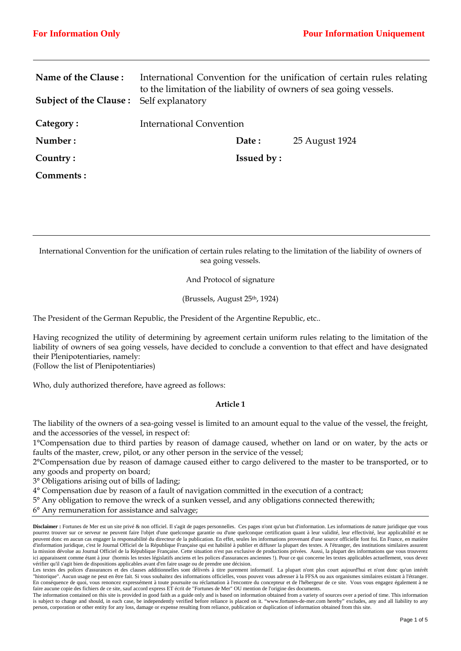| Name of the Clause:<br><b>Subject of the Clause:</b> Self explanatory | International Convention for the unification of certain rules relating<br>to the limitation of the liability of owners of sea going vessels. |                   |                |
|-----------------------------------------------------------------------|----------------------------------------------------------------------------------------------------------------------------------------------|-------------------|----------------|
| Category:                                                             | <b>International Convention</b>                                                                                                              |                   |                |
| Number:                                                               |                                                                                                                                              | Date:             | 25 August 1924 |
| Country:                                                              |                                                                                                                                              | <b>Issued by:</b> |                |
| Comments:                                                             |                                                                                                                                              |                   |                |

International Convention for the unification of certain rules relating to the limitation of the liability of owners of sea going vessels.

And Protocol of signature

(Brussels, August 25th, 1924)

The President of the German Republic, the President of the Argentine Republic, etc..

Having recognized the utility of determining by agreement certain uniform rules relating to the limitation of the liability of owners of sea going vessels, have decided to conclude a convention to that effect and have designated their Plenipotentiaries, namely:

(Follow the list of Plenipotentiaries)

Who, duly authorized therefore, have agreed as follows:

## **Article 1**

The liability of the owners of a sea-going vessel is limited to an amount equal to the value of the vessel, the freight, and the accessories of the vessel, in respect of:

1°Compensation due to third parties by reason of damage caused, whether on land or on water, by the acts or faults of the master, crew, pilot, or any other person in the service of the vessel;

2°Compensation due by reason of damage caused either to cargo delivered to the master to be transported, or to any goods and property on board;

3° Obligations arising out of bills of lading;

4° Compensation due by reason of a fault of navigation committed in the execution of a contract;

5° Any obligation to remove the wreck of a sunken vessel, and any obligations connected therewith;

6° Any remuneration for assistance and salvage;

**Disclaimer :** Fortunes de Mer est un site privé & non officiel. Il s'agit de pages personnelles. Ces pages n'ont qu'un but d'information. Les informations de nature juridique que vous pourrez trouver sur ce serveur ne peuvent faire l'objet d'une quelconque garantie ou d'une quelconque certification quant à leur validité, leur effectivité, leur applicabilité et ne peuvent donc en aucun cas engager la responsabilité du directeur de la publication. En effet, seules les informations provenant d'une source officielle font foi. En France, en matière d'information juridique, c'est le Journal Officiel de la République Française qui est habilité à publier et diffuser la plupart des textes. A l'étranger, des institutions similaires assurent la mission dévolue au Journal Officiel de la République Française. Cette situation n'est pas exclusive de productions privées. Aussi, la plupart des informations que vous trouverez ici apparaissent comme étant à jour (hormis les textes législatifs anciens et les polices d'assurances anciennes !). Pour ce qui concerne les textes applicables actuellement, vous devez vérifier qu'il s'agit bien de dispositions applicables avant d'en faire usage ou de prendre une décision.

Les textes des polices d'assurances et des clauses additionnelles sont délivrés à titre purement informatif. La plupart n'ont plus court aujourd'hui et n'ont donc qu'un intérêt "historique". Aucun usage ne peut en être fait. Si vous souhaitez des informations officielles, vous pouvez vous adresser à la FFSA ou aux organismes similaires existant à l'étranger. En conséquence de quoi, vous renoncez expressément à toute poursuite ou réclamation à l'encontre du concepteur et de l'hébergeur de ce site. Vous vous engagez également à ne faire aucune copie des fichiers de ce site, sauf accord express ET écrit de "Fortunes de Mer" OU mention de l'origine des documents.

The information contained on this site is provided in good faith as a guide only and is based on information obtained from a variety of sources over a period of time. This information is subject to change and should, in each case, be independently verified before reliance is placed on it. "www.fortunes-de-mer.com hereby" excludes, any and all liability to any person, corporation or other entity for any loss, damage or expense resulting from reliance, publication or duplication of information obtained from this site.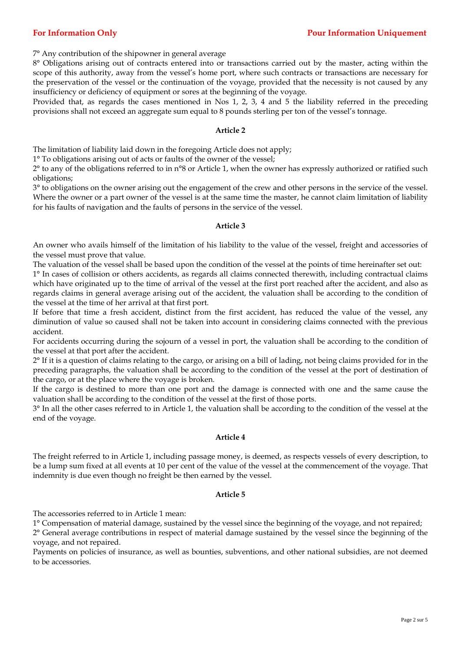7° Any contribution of the shipowner in general average

8° Obligations arising out of contracts entered into or transactions carried out by the master, acting within the scope of this authority, away from the vessel's home port, where such contracts or transactions are necessary for the preservation of the vessel or the continuation of the voyage, provided that the necessity is not caused by any insufficiency or deficiency of equipment or sores at the beginning of the voyage.

Provided that, as regards the cases mentioned in Nos 1, 2, 3, 4 and 5 the liability referred in the preceding provisions shall not exceed an aggregate sum equal to 8 pounds sterling per ton of the vessel's tonnage.

## **Article 2**

The limitation of liability laid down in the foregoing Article does not apply;

1° To obligations arising out of acts or faults of the owner of the vessel;

 $2^{\circ}$  to any of the obligations referred to in n°8 or Article 1, when the owner has expressly authorized or ratified such obligations;

3° to obligations on the owner arising out the engagement of the crew and other persons in the service of the vessel. Where the owner or a part owner of the vessel is at the same time the master, he cannot claim limitation of liability for his faults of navigation and the faults of persons in the service of the vessel.

## **Article 3**

An owner who avails himself of the limitation of his liability to the value of the vessel, freight and accessories of the vessel must prove that value.

The valuation of the vessel shall be based upon the condition of the vessel at the points of time hereinafter set out:

1° In cases of collision or others accidents, as regards all claims connected therewith, including contractual claims which have originated up to the time of arrival of the vessel at the first port reached after the accident, and also as regards claims in general average arising out of the accident, the valuation shall be according to the condition of the vessel at the time of her arrival at that first port.

If before that time a fresh accident, distinct from the first accident, has reduced the value of the vessel, any diminution of value so caused shall not be taken into account in considering claims connected with the previous accident.

For accidents occurring during the sojourn of a vessel in port, the valuation shall be according to the condition of the vessel at that port after the accident.

2° If it is a question of claims relating to the cargo, or arising on a bill of lading, not being claims provided for in the preceding paragraphs, the valuation shall be according to the condition of the vessel at the port of destination of the cargo, or at the place where the voyage is broken.

If the cargo is destined to more than one port and the damage is connected with one and the same cause the valuation shall be according to the condition of the vessel at the first of those ports.

3° In all the other cases referred to in Article 1, the valuation shall be according to the condition of the vessel at the end of the voyage.

### **Article 4**

The freight referred to in Article 1, including passage money, is deemed, as respects vessels of every description, to be a lump sum fixed at all events at 10 per cent of the value of the vessel at the commencement of the voyage. That indemnity is due even though no freight be then earned by the vessel.

### **Article 5**

The accessories referred to in Article 1 mean:

1° Compensation of material damage, sustained by the vessel since the beginning of the voyage, and not repaired;

2° General average contributions in respect of material damage sustained by the vessel since the beginning of the voyage, and not repaired.

Payments on policies of insurance, as well as bounties, subventions, and other national subsidies, are not deemed to be accessories.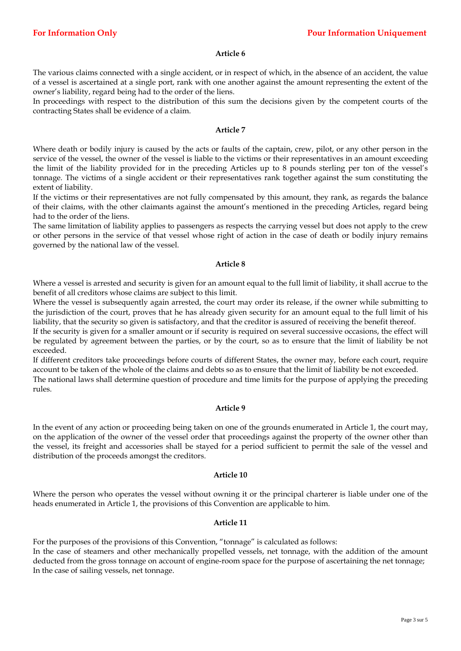## **Article 6**

The various claims connected with a single accident, or in respect of which, in the absence of an accident, the value of a vessel is ascertained at a single port, rank with one another against the amount representing the extent of the owner's liability, regard being had to the order of the liens.

In proceedings with respect to the distribution of this sum the decisions given by the competent courts of the contracting States shall be evidence of a claim.

## **Article 7**

Where death or bodily injury is caused by the acts or faults of the captain, crew, pilot, or any other person in the service of the vessel, the owner of the vessel is liable to the victims or their representatives in an amount exceeding the limit of the liability provided for in the preceding Articles up to 8 pounds sterling per ton of the vessel's tonnage. The victims of a single accident or their representatives rank together against the sum constituting the extent of liability.

If the victims or their representatives are not fully compensated by this amount, they rank, as regards the balance of their claims, with the other claimants against the amount's mentioned in the preceding Articles, regard being had to the order of the liens.

The same limitation of liability applies to passengers as respects the carrying vessel but does not apply to the crew or other persons in the service of that vessel whose right of action in the case of death or bodily injury remains governed by the national law of the vessel.

## **Article 8**

Where a vessel is arrested and security is given for an amount equal to the full limit of liability, it shall accrue to the benefit of all creditors whose claims are subject to this limit.

Where the vessel is subsequently again arrested, the court may order its release, if the owner while submitting to the jurisdiction of the court, proves that he has already given security for an amount equal to the full limit of his liability, that the security so given is satisfactory, and that the creditor is assured of receiving the benefit thereof.

If the security is given for a smaller amount or if security is required on several successive occasions, the effect will be regulated by agreement between the parties, or by the court, so as to ensure that the limit of liability be not exceeded.

If different creditors take proceedings before courts of different States, the owner may, before each court, require account to be taken of the whole of the claims and debts so as to ensure that the limit of liability be not exceeded. The national laws shall determine question of procedure and time limits for the purpose of applying the preceding rules.

### **Article 9**

In the event of any action or proceeding being taken on one of the grounds enumerated in Article 1, the court may, on the application of the owner of the vessel order that proceedings against the property of the owner other than the vessel, its freight and accessories shall be stayed for a period sufficient to permit the sale of the vessel and distribution of the proceeds amongst the creditors.

### **Article 10**

Where the person who operates the vessel without owning it or the principal charterer is liable under one of the heads enumerated in Article 1, the provisions of this Convention are applicable to him.

# **Article 11**

For the purposes of the provisions of this Convention, "tonnage" is calculated as follows: In the case of steamers and other mechanically propelled vessels, net tonnage, with the addition of the amount deducted from the gross tonnage on account of engine-room space for the purpose of ascertaining the net tonnage; In the case of sailing vessels, net tonnage.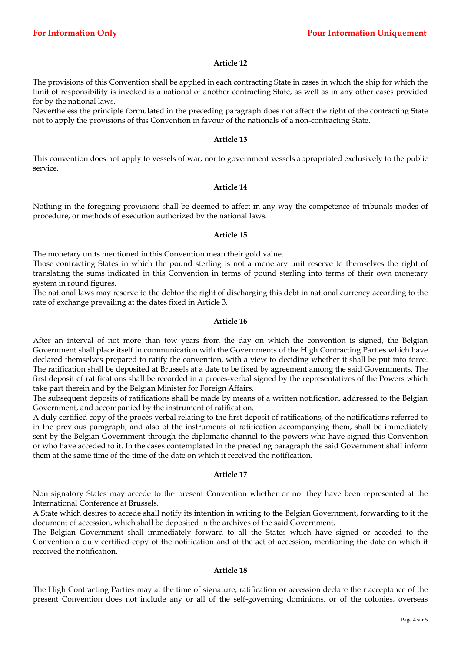## **Article 12**

The provisions of this Convention shall be applied in each contracting State in cases in which the ship for which the limit of responsibility is invoked is a national of another contracting State, as well as in any other cases provided for by the national laws.

Nevertheless the principle formulated in the preceding paragraph does not affect the right of the contracting State not to apply the provisions of this Convention in favour of the nationals of a non-contracting State.

## **Article 13**

This convention does not apply to vessels of war, nor to government vessels appropriated exclusively to the public service.

## **Article 14**

Nothing in the foregoing provisions shall be deemed to affect in any way the competence of tribunals modes of procedure, or methods of execution authorized by the national laws.

## **Article 15**

The monetary units mentioned in this Convention mean their gold value.

Those contracting States in which the pound sterling is not a monetary unit reserve to themselves the right of translating the sums indicated in this Convention in terms of pound sterling into terms of their own monetary system in round figures.

The national laws may reserve to the debtor the right of discharging this debt in national currency according to the rate of exchange prevailing at the dates fixed in Article 3.

## **Article 16**

After an interval of not more than tow years from the day on which the convention is signed, the Belgian Government shall place itself in communication with the Governments of the High Contracting Parties which have declared themselves prepared to ratify the convention, with a view to deciding whether it shall be put into force. The ratification shall be deposited at Brussels at a date to be fixed by agreement among the said Governments. The first deposit of ratifications shall be recorded in a procès-verbal signed by the representatives of the Powers which take part therein and by the Belgian Minister for Foreign Affairs.

The subsequent deposits of ratifications shall be made by means of a written notification, addressed to the Belgian Government, and accompanied by the instrument of ratification.

A duly certified copy of the procès-verbal relating to the first deposit of ratifications, of the notifications referred to in the previous paragraph, and also of the instruments of ratification accompanying them, shall be immediately sent by the Belgian Government through the diplomatic channel to the powers who have signed this Convention or who have acceded to it. In the cases contemplated in the preceding paragraph the said Government shall inform them at the same time of the time of the date on which it received the notification.

# **Article 17**

Non signatory States may accede to the present Convention whether or not they have been represented at the International Conference at Brussels.

A State which desires to accede shall notify its intention in writing to the Belgian Government, forwarding to it the document of accession, which shall be deposited in the archives of the said Government.

The Belgian Government shall immediately forward to all the States which have signed or acceded to the Convention a duly certified copy of the notification and of the act of accession, mentioning the date on which it received the notification.

## **Article 18**

The High Contracting Parties may at the time of signature, ratification or accession declare their acceptance of the present Convention does not include any or all of the self-governing dominions, or of the colonies, overseas